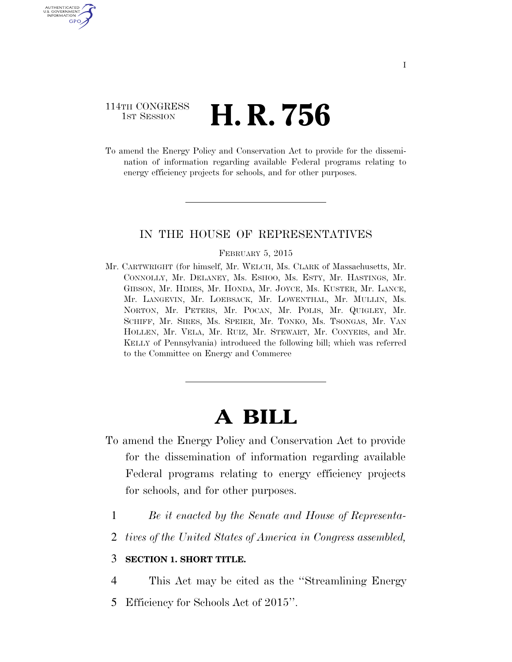# 114TH CONGRESS 1st Session **H. R. 756**

U.S. GOVERNMENT GPO

> To amend the Energy Policy and Conservation Act to provide for the dissemination of information regarding available Federal programs relating to energy efficiency projects for schools, and for other purposes.

## IN THE HOUSE OF REPRESENTATIVES

#### FEBRUARY 5, 2015

Mr. CARTWRIGHT (for himself, Mr. WELCH, Ms. CLARK of Massachusetts, Mr. CONNOLLY, Mr. DELANEY, Ms. ESHOO, Ms. ESTY, Mr. HASTINGS, Mr. GIBSON, Mr. HIMES, Mr. HONDA, Mr. JOYCE, Ms. KUSTER, Mr. LANCE, Mr. LANGEVIN, Mr. LOEBSACK, Mr. LOWENTHAL, Mr. MULLIN, Ms. NORTON, Mr. PETERS, Mr. POCAN, Mr. POLIS, Mr. QUIGLEY, Mr. SCHIFF, Mr. SIRES, Ms. SPEIER, Mr. TONKO, Ms. TSONGAS, Mr. VAN HOLLEN, Mr. VELA, Mr. RUIZ, Mr. STEWART, Mr. CONYERS, and Mr. KELLY of Pennsylvania) introduced the following bill; which was referred to the Committee on Energy and Commerce

# **A BILL**

- To amend the Energy Policy and Conservation Act to provide for the dissemination of information regarding available Federal programs relating to energy efficiency projects for schools, and for other purposes.
	- 1 *Be it enacted by the Senate and House of Representa-*
	- 2 *tives of the United States of America in Congress assembled,*

### 3 **SECTION 1. SHORT TITLE.**

- 4 This Act may be cited as the ''Streamlining Energy
- 5 Efficiency for Schools Act of 2015''.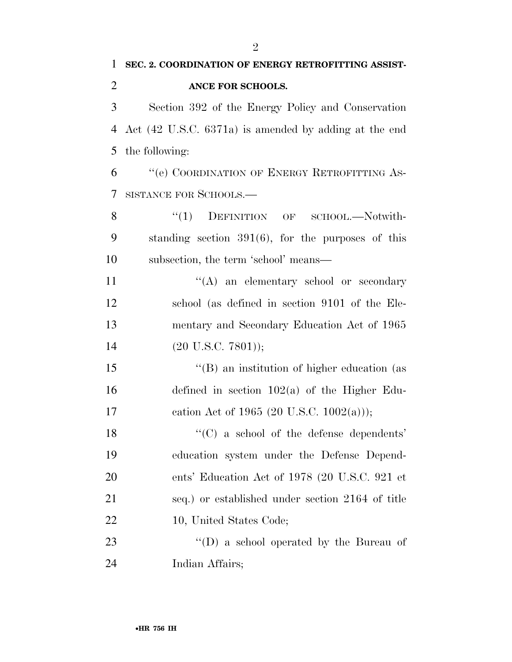Section 392 of the Energy Policy and Conservation Act (42 U.S.C. 6371a) is amended by adding at the end the following:

 ''(e) COORDINATION OF ENERGY RETROFITTING AS-SISTANCE FOR SCHOOLS.—

8 "(1) DEFINITION OF SCHOOL.—Notwith- standing section 391(6), for the purposes of this subsection, the term 'school' means—

11 ''(A) an elementary school or secondary school (as defined in section 9101 of the Ele- mentary and Secondary Education Act of 1965 14 (20 U.S.C. 7801));

 ''(B) an institution of higher education (as defined in section 102(a) of the Higher Edu-17 cation Act of 1965 (20 U.S.C. 1002(a)));

 ''(C) a school of the defense dependents' education system under the Defense Depend- ents' Education Act of 1978 (20 U.S.C. 921 et seq.) or established under section 2164 of title 10, United States Code;

23 ''(D) a school operated by the Bureau of Indian Affairs;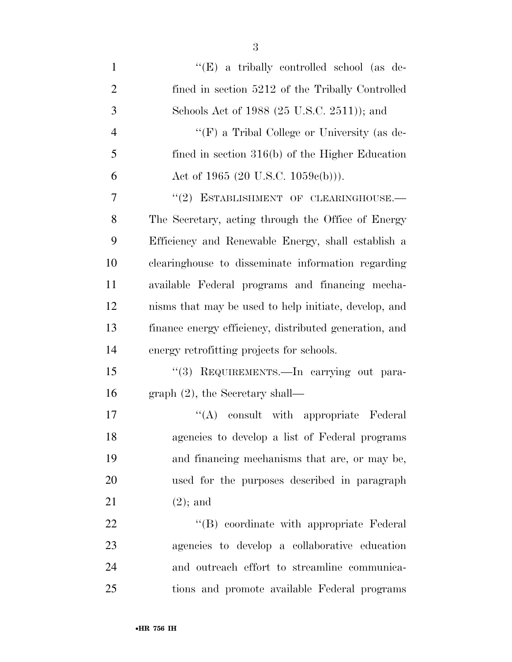| $\mathbf{1}$   | "(E) a tribally controlled school (as de-              |
|----------------|--------------------------------------------------------|
| $\overline{2}$ | fined in section 5212 of the Tribally Controlled       |
| 3              | Schools Act of 1988 (25 U.S.C. 2511)); and             |
| $\overline{4}$ | "(F) a Tribal College or University (as de-            |
| 5              | fined in section $316(b)$ of the Higher Education      |
| 6              | Act of 1965 (20 U.S.C. 1059 $e(b)$ )).                 |
| 7              | "(2) ESTABLISHMENT OF CLEARINGHOUSE.-                  |
| 8              | The Secretary, acting through the Office of Energy     |
| 9              | Efficiency and Renewable Energy, shall establish a     |
| 10             | clearinghouse to disseminate information regarding     |
| 11             | available Federal programs and financing mecha-        |
| 12             | nisms that may be used to help initiate, develop, and  |
| 13             | finance energy efficiency, distributed generation, and |
| 14             | energy retrofitting projects for schools.              |
| 15             | "(3) REQUIREMENTS. - In carrying out para-             |
| 16             | graph $(2)$ , the Secretary shall—                     |
| 17             | "(A) consult with appropriate Federal                  |
| 18             | agencies to develop a list of Federal programs         |
| 19             | and financing mechanisms that are, or may be,          |
| 20             | used for the purposes described in paragraph           |
| 21             | $(2)$ ; and                                            |
| 22             | "(B) coordinate with appropriate Federal               |
| 23             | agencies to develop a collaborative education          |
| 24             | and outreach effort to streamline communica-           |
| 25             | tions and promote available Federal programs           |